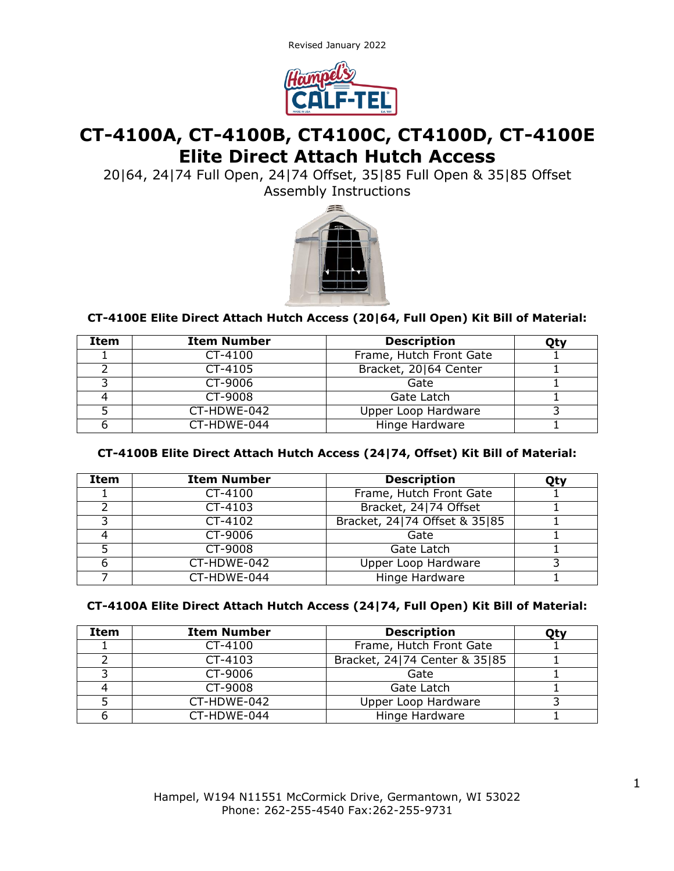Revised January 2022



# **CT-4100A, CT-4100B, CT4100C, CT4100D, CT-4100E Elite Direct Attach Hutch Access**

20|64, 24|74 Full Open, 24|74 Offset, 35|85 Full Open & 35|85 Offset Assembly Instructions



## **CT-4100E Elite Direct Attach Hutch Access (20|64, Full Open) Kit Bill of Material:**

| Item | <b>Item Number</b> | <b>Description</b>      | Qty |
|------|--------------------|-------------------------|-----|
|      | CT-4100            | Frame, Hutch Front Gate |     |
|      | CT-4105            | Bracket, 20164 Center   |     |
|      | CT-9006            | Gate                    |     |
|      | CT-9008            | Gate Latch              |     |
|      | CT-HDWE-042        | Upper Loop Hardware     |     |
|      | CT-HDWE-044        | Hinge Hardware          |     |

## **CT-4100B Elite Direct Attach Hutch Access (24|74, Offset) Kit Bill of Material:**

| <b>Item</b> | <b>Item Number</b> | <b>Description</b>            | Qty |
|-------------|--------------------|-------------------------------|-----|
|             | CT-4100            | Frame, Hutch Front Gate       |     |
|             | CT-4103            | Bracket, 24 74 Offset         |     |
|             | CT-4102            | Bracket, 24 74 Offset & 35 85 |     |
|             | CT-9006            | Gate                          |     |
|             | CT-9008            | Gate Latch                    |     |
|             | CT-HDWE-042        | Upper Loop Hardware           |     |
|             | CT-HDWE-044        | Hinge Hardware                |     |

## **CT-4100A Elite Direct Attach Hutch Access (24|74, Full Open) Kit Bill of Material:**

| Item | <b>Item Number</b> | <b>Description</b>            | Otv |
|------|--------------------|-------------------------------|-----|
|      | CT-4100            | Frame, Hutch Front Gate       |     |
|      | CT-4103            | Bracket, 24 74 Center & 35 85 |     |
|      | CT-9006            | Gate                          |     |
|      | CT-9008            | Gate Latch                    |     |
|      | CT-HDWE-042        | Upper Loop Hardware           |     |
|      | CT-HDWE-044        | Hinge Hardware                |     |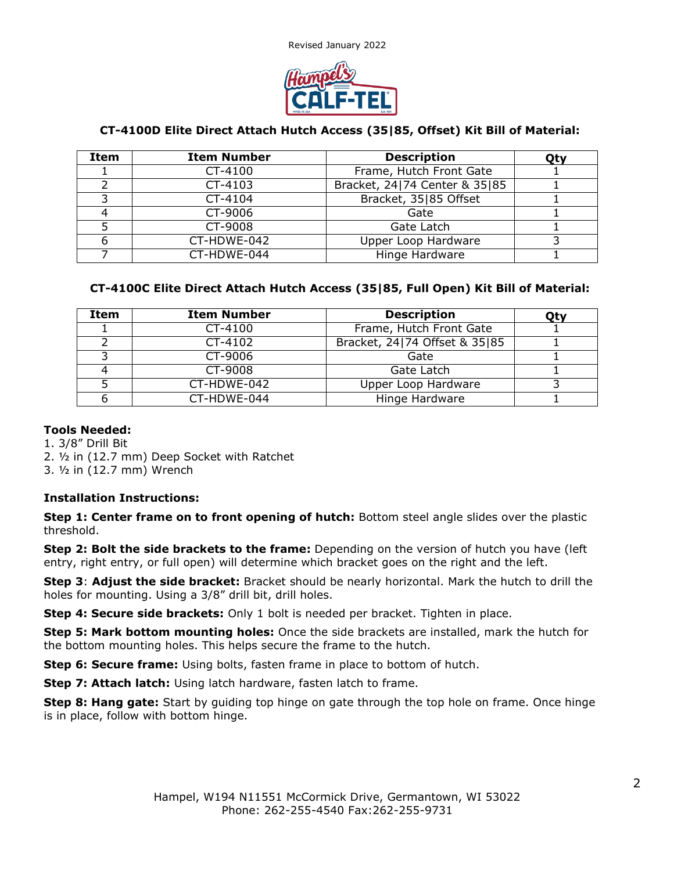Revised January 2022



## **CT-4100D Elite Direct Attach Hutch Access (35|85, Offset) Kit Bill of Material:**

| Item | <b>Item Number</b> | <b>Description</b>            | Qty |
|------|--------------------|-------------------------------|-----|
|      | CT-4100            | Frame, Hutch Front Gate       |     |
|      | CT-4103            | Bracket, 24 74 Center & 35 85 |     |
|      | CT-4104            | Bracket, 35 85 Offset         |     |
|      | CT-9006            | Gate                          |     |
|      | CT-9008            | Gate Latch                    |     |
| 6    | CT-HDWE-042        | Upper Loop Hardware           |     |
|      | CT-HDWE-044        | Hinge Hardware                |     |

## **CT-4100C Elite Direct Attach Hutch Access (35|85, Full Open) Kit Bill of Material:**

| <b>Item</b> | <b>Item Number</b> | <b>Description</b>            | Otv |
|-------------|--------------------|-------------------------------|-----|
|             | CT-4100            | Frame, Hutch Front Gate       |     |
|             | CT-4102            | Bracket, 24 74 Offset & 35 85 |     |
|             | CT-9006            | Gate                          |     |
|             | CT-9008            | Gate Latch                    |     |
|             | CT-HDWE-042        | Upper Loop Hardware           |     |
|             | CT-HDWE-044        | Hinge Hardware                |     |

#### **Tools Needed:**

1. 3/8" Drill Bit 2. ½ in (12.7 mm) Deep Socket with Ratchet

3. ½ in (12.7 mm) Wrench

## **Installation Instructions:**

**Step 1: Center frame on to front opening of hutch:** Bottom steel angle slides over the plastic threshold.

**Step 2: Bolt the side brackets to the frame:** Depending on the version of hutch you have (left entry, right entry, or full open) will determine which bracket goes on the right and the left.

**Step 3**: **Adjust the side bracket:** Bracket should be nearly horizontal. Mark the hutch to drill the holes for mounting. Using a 3/8" drill bit, drill holes.

**Step 4: Secure side brackets:** Only 1 bolt is needed per bracket. Tighten in place.

**Step 5: Mark bottom mounting holes:** Once the side brackets are installed, mark the hutch for the bottom mounting holes. This helps secure the frame to the hutch.

**Step 6: Secure frame:** Using bolts, fasten frame in place to bottom of hutch.

**Step 7: Attach latch:** Using latch hardware, fasten latch to frame.

**Step 8: Hang gate:** Start by guiding top hinge on gate through the top hole on frame. Once hinge is in place, follow with bottom hinge.